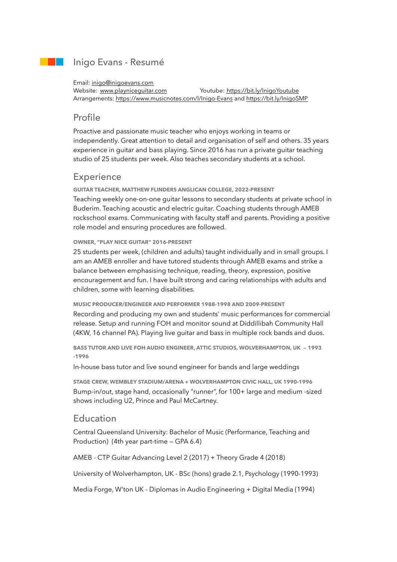## Inigo Evans - Resumé

#### Email: inigo@inigoevans.com

Website: [www.playniceguitar.com](http://www.playniceguitar.com) Youtube: https://bit.ly/InigoYoutube Arrangements: <https://www.musicnotes.com/l/Inigo-Evans> and https://bit.ly/InigoSMP

## Profile

Proactive and passionate music teacher who enjoys working in teams or independently. Great attention to detail and organisation of self and others. 35 years experience in guitar and bass playing. Since 2016 has run a private guitar teaching studio of 25 students per week. Also teaches secondary students at a school.

# **Experience**

**GUITAR TEACHER, MATTHEW FLINDERS ANGLICAN COLLEGE, 2022-PRESENT**  Teaching weekly one-on-one guitar lessons to secondary students at private school in Buderim. Teaching acoustic and electric guitar. Coaching students through AMEB rockschool exams. Communicating with faculty staff and parents. Providing a positive role model and ensuring procedures are followed.

#### **OWNER, "PLAY NICE GUITAR" 2016-PRESENT**

25 students per week, (children and adults) taught individually and in small groups. I am an AMEB enroller and have tutored students through AMEB exams and strike a balance between emphasising technique, reading, theory, expression, positive encouragement and fun. I have built strong and caring relationships with adults and children, some with learning disabilities.

**MUSIC PRODUCER/ENGINEER AND PERFORMER 1988-1998 AND 2009-PRESENT**  Recording and producing my own and students' music performances for commercial release. Setup and running FOH and monitor sound at Diddillibah Community Hall (4KW, 16 channel PA). Playing live guitar and bass in multiple rock bands and duos.

**BASS TUTOR AND LIVE FOH AUDIO ENGINEER, ATTIC STUDIOS, WOLVERHAMPTON, UK — 1993 -1996** 

In-house bass tutor and live sound engineer for bands and large weddings

**STAGE CREW, WEMBLEY STADIUM/ARENA + WOLVERHAMPTON CIVIC HALL, UK 1990-1996**  Bump-in/out, stage hand, occasionally "runner", for 100+ large and medium -sized shows including U2, Prince and Paul McCartney.

#### Education

Central Queensland University: Bachelor of Music (Performance, Teaching and Production) (4th year part-time — GPA 6.4)

AMEB - CTP Guitar Advancing Level 2 (2017) + Theory Grade 4 (2018)

University of Wolverhampton, UK - BSc (hons) grade 2.1, Psychology (1990-1993)

Media Forge, W'ton UK - Diplomas in Audio Engineering + Digital Media (1994)